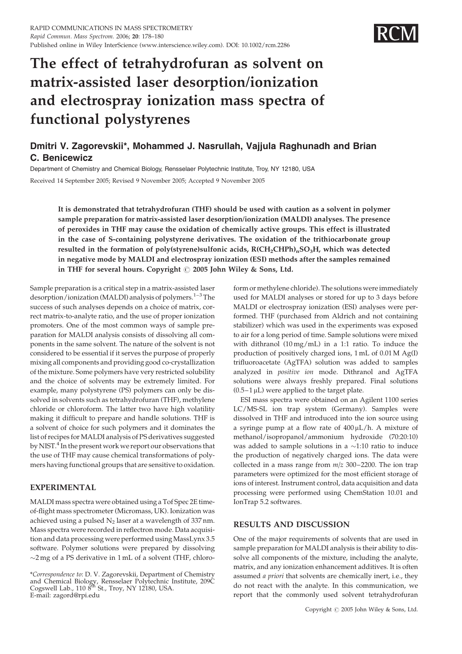

# The effect of tetrahydrofuran as solvent on matrix-assisted laser desorption/ionization and electrospray ionization mass spectra of functional polystyrenes

## Dmitri V. Zagorevskii\*, Mohammed J. Nasrullah, Vajjula Raghunadh and Brian C. Benicewicz

Department of Chemistry and Chemical Biology, Rensselaer Polytechnic Institute, Troy, NY 12180, USA Received 14 September 2005; Revised 9 November 2005; Accepted 9 November 2005

It is demonstrated that tetrahydrofuran (THF) should be used with caution as a solvent in polymer sample preparation for matrix-assisted laser desorption/ionization (MALDI) analyses. The presence of peroxides in THF may cause the oxidation of chemically active groups. This effect is illustrated in the case of S-containing polystyrene derivatives. The oxidation of the trithiocarbonate group resulted in the formation of poly(styrene)sulfonic acids,  $R(CH_2CHPh)_nSO_3H$ , which was detected in negative mode by MALDI and electrospray ionization (ESI) methods after the samples remained in THF for several hours. Copyright  $\odot$  2005 John Wiley & Sons, Ltd.

Sample preparation is a critical step in a matrix-assisted laser desorption/ionization (MALDI) analysis of polymers.<sup>1–3</sup>The success of such analyses depends on a choice of matrix, correct matrix-to-analyte ratio, and the use of proper ionization promoters. One of the most common ways of sample preparation for MALDI analysis consists of dissolving all components in the same solvent. The nature of the solvent is not considered to be essential if it serves the purpose of properly mixing all components and providing good co-crystallization of the mixture. Some polymers have very restricted solubility and the choice of solvents may be extremely limited. For example, many polystyrene (PS) polymers can only be dissolved in solvents such as tetrahydrofuran (THF), methylene chloride or chloroform. The latter two have high volatility making it difficult to prepare and handle solutions. THF is a solvent of choice for such polymers and it dominates the list of recipes for MALDI analysis of PS derivatives suggested by NIST.<sup>4</sup> In the present work we report our observations that the use of THF may cause chemical transformations of polymers having functional groups that are sensitive to oxidation.

## EXPERIMENTAL

MALDI mass spectra were obtained using a Tof Spec 2E timeof-flight mass spectrometer (Micromass, UK). Ionization was achieved using a pulsed  $N_2$  laser at a wavelength of 337 nm. Mass spectra were recorded in reflectron mode. Data acquisition and data processing were performed usingMassLynx 3.5 software. Polymer solutions were prepared by dissolving  $\sim$ 2 mg of a PS derivative in 1 mL of a solvent (THF, chloro-

\*Correspondence to: D. V. Zagorevskii, Department of Chemistry and Chemical Biology, Rensselaer Polytechnic Institute, 209C<br>Cogswell Lab., 110 8<sup>th</sup> St., Troy, NY 12180, USA. E-mail: zagord@rpi.edu

form or methylene chloride). The solutions were immediately used for MALDI analyses or stored for up to 3 days before MALDI or electrospray ionization (ESI) analyses were performed. THF (purchased from Aldrich and not containing stabilizer) which was used in the experiments was exposed to air for a long period of time. Sample solutions were mixed with dithranol (10 mg/mL) in a 1:1 ratio. To induce the production of positively charged ions, 1 mL of 0.01 M Ag(I) trifluoroacetate (AgTFA) solution was added to samples analyzed in positive ion mode. Dithranol and AgTFA solutions were always freshly prepared. Final solutions  $(0.5-1 \,\mu L)$  were applied to the target plate.

ESI mass spectra were obtained on an Agilent 1100 series LC/MS-SL ion trap system (Germany). Samples were dissolved in THF and introduced into the ion source using a syringe pump at a flow rate of  $400 \mu L/h$ . A mixture of methanol/isopropanol/ammonium hydroxide (70:20:10) was added to sample solutions in a  $\sim$ 1:10 ratio to induce the production of negatively charged ions. The data were collected in a mass range from  $m/z$  300–2200. The ion trap parameters were optimized for the most efficient storage of ions of interest. Instrument control, data acquisition and data processing were performed using ChemStation 10.01 and IonTrap 5.2 softwares.

## RESULTS AND DISCUSSION

One of the major requirements of solvents that are used in sample preparation for MALDI analysis is their ability to dissolve all components of the mixture, including the analyte, matrix, and any ionization enhancement additives. It is often assumed a priori that solvents are chemically inert, i.e., they do not react with the analyte. In this communication, we report that the commonly used solvent tetrahydrofuran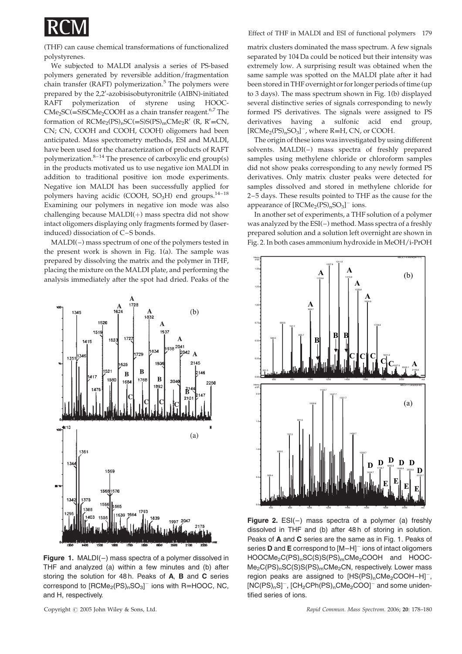

(THF) can cause chemical transformations of functionalized polystyrenes.

We subjected to MALDI analysis a series of PS-based polymers generated by reversible addition/fragmentation chain transfer (RAFT) polymerization. $5$  The polymers were prepared by the 2,2'-azobisisobutyronitrile (AIBN)-initiated RAFT polymerization of styrene using HOOC- $CMe<sub>2</sub>SC(=S)SCMe<sub>2</sub>COOH$  as a chain transfer reagent.<sup>6,7</sup> The formation of  $RCMe<sub>2</sub>(PS)<sub>n</sub>SC(=S)S(PS)<sub>m</sub>CMe<sub>2</sub>R' (R, R'=CN,$ CN; CN, COOH and COOH, COOH) oligomers had been anticipated. Mass spectrometry methods, ESI and MALDI, have been used for the characterization of products of RAFT polymerization. $8-14$  The presence of carboxylic end group(s) in the products motivated us to use negative ion MALDI in addition to traditional positive ion mode experiments. Negative ion MALDI has been successfully applied for polymers having acidic (COOH,  $SO<sub>3</sub>H$ ) end groups.<sup>14-18</sup> Examining our polymers in negative ion mode was also challenging because  $MALDI(+)$  mass spectra did not show intact oligomers displaying only fragments formed by (laserinduced) dissociation of C–S bonds.

MALDI(–) mass spectrum of one of the polymers tested in the present work is shown in Fig. 1(a). The sample was prepared by dissolving the matrix and the polymer in THF, placing the mixture on the MALDI plate, and performing the analysis immediately after the spot had dried. Peaks of the



Figure 1. MALDI $(-)$  mass spectra of a polymer dissolved in THF and analyzed (a) within a few minutes and (b) after storing the solution for 48 h. Peaks of A, B and C series correspond to  $[\mathsf{RCMe}_2(\mathsf{PS})_\mathsf{n}\mathsf{SO}_3]^-$  ions with  $\mathsf{R}{=}\mathsf{HOOC},\,\mathsf{NC},$ and H, respectively.

matrix clusters dominated the mass spectrum. A few signals separated by 104 Da could be noticed but their intensity was extremely low. A surprising result was obtained when the same sample was spotted on the MALDI plate after it had been stored in THF overnight or for longer periods of time (up to 3 days). The mass spectrum shown in Fig. 1(b) displayed several distinctive series of signals corresponding to newly formed PS derivatives. The signals were assigned to PS derivatives having a sulfonic acid end group,  $[RCMe_2(PS)_nSO_3]^-$ , where  $R=H$ , CN, or COOH.

The origin of these ions was investigated by using different solvents. MALDI(–) mass spectra of freshly prepared samples using methylene chloride or chloroform samples did not show peaks corresponding to any newly formed PS derivatives. Only matrix cluster peaks were detected for samples dissolved and stored in methylene chloride for 2–5 days. These results pointed to THF as the cause for the appearance of  $[RCMe_2(PS)_nSO_3]^-$  ions.

In another set of experiments, a THF solution of a polymer was analyzed by the ESI(–) method. Mass spectra of a freshly prepared solution and a solution left overnight are shown in Fig. 2. In both cases ammonium hydroxide in MeOH/i-PrOH



Figure 2.  $ESI(-)$  mass spectra of a polymer (a) freshly dissolved in THF and (b) after 48 h of storing in solution. Peaks of A and C series are the same as in Fig. 1. Peaks of series **D** and **E** correspond to  $[M-H]$ <sup>-</sup> ions of intact oligomers HOOCMe<sub>2</sub>C(PS)<sub>n</sub>SC(S)S(PS)<sub>m</sub>CMe<sub>2</sub>COOH and HOOC- $Me<sub>2</sub>C(PS)<sub>n</sub>SC(S)S(PS)<sub>m</sub>CMe<sub>2</sub>CN$ , respectively. Lower mass region peaks are assigned to  $[HS(PS)_nCMe_2COOH-H]^{-}$ ,  $[NC(PS)_nS]^-$ ,  $[CH_2CPh(PS)_nCMe_2COO]^-$  and some unidentified series of ions.